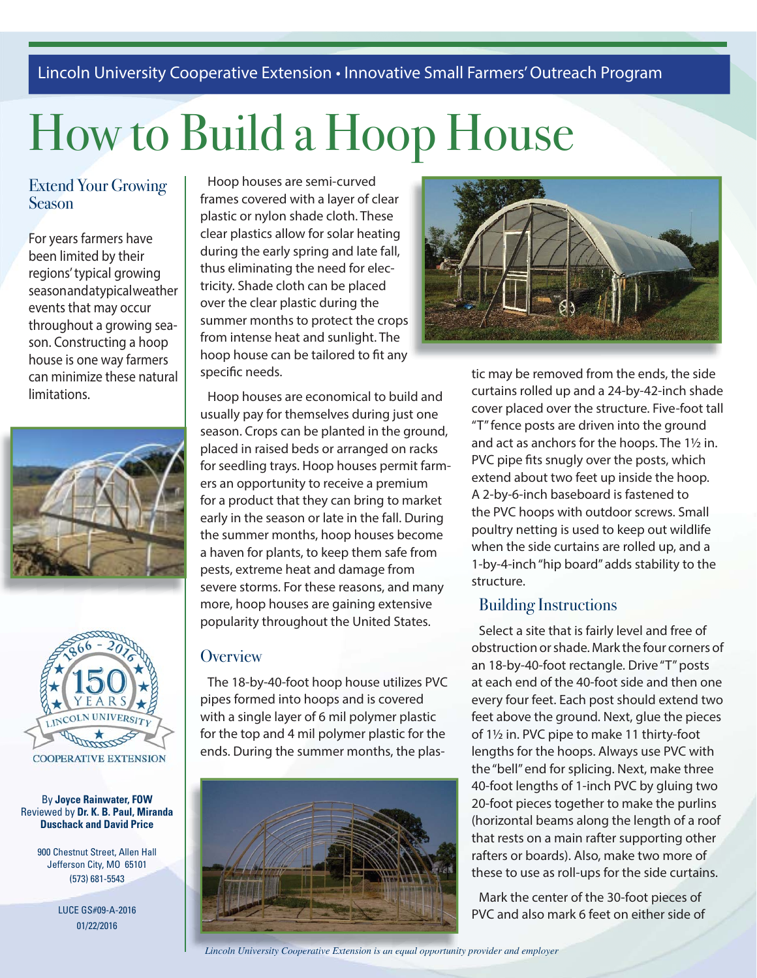## Lincoln University Cooperative Extension • Innovative Small Farmers' Outreach Program

# How to Build a Hoop House

## Extend Your Growing Season

For years farmers have been limited by their regions' typical growing season and a typical weather events that may occur throughout a growing season. Constructing a hoop house is one way farmers can minimize these natural limitations.





By **Joyce Rainwater, FOW** Reviewed by **Dr. K. B. Paul, Miranda Duschack and David Price**

900 Chestnut Street, Allen Hall Jefferson City, MO 65101 (573) 681-5543

LUCE GS#09-A-2016 01/22/2016

Hoop houses are semi-curved frames covered with a layer of clear plastic or nylon shade cloth. These clear plastics allow for solar heating during the early spring and late fall, thus eliminating the need for electricity. Shade cloth can be placed over the clear plastic during the summer months to protect the crops from intense heat and sunlight. The hoop house can be tailored to fit any specific needs.

Hoop houses are economical to build and usually pay for themselves during just one season. Crops can be planted in the ground, placed in raised beds or arranged on racks for seedling trays. Hoop houses permit farmers an opportunity to receive a premium for a product that they can bring to market early in the season or late in the fall. During the summer months, hoop houses become a haven for plants, to keep them safe from pests, extreme heat and damage from severe storms. For these reasons, and many more, hoop houses are gaining extensive popularity throughout the United States.

#### **Overview**

The 18-by-40-foot hoop house utilizes PVC pipes formed into hoops and is covered with a single layer of 6 mil polymer plastic for the top and 4 mil polymer plastic for the ends. During the summer months, the plas-





tic may be removed from the ends, the side curtains rolled up and a 24-by-42-inch shade cover placed over the structure. Five-foot tall "T" fence posts are driven into the ground and act as anchors for the hoops. The 1½ in. PVC pipe fits snugly over the posts, which extend about two feet up inside the hoop. A 2-by-6-inch baseboard is fastened to the PVC hoops with outdoor screws. Small poultry netting is used to keep out wildlife when the side curtains are rolled up, and a 1-by-4-inch "hip board" adds stability to the structure.

#### Building Instructions

Select a site that is fairly level and free of obstruction or shade. Mark the four corners of an 18-by-40-foot rectangle. Drive "T" posts at each end of the 40-foot side and then one every four feet. Each post should extend two feet above the ground. Next, glue the pieces of 1½ in. PVC pipe to make 11 thirty-foot lengths for the hoops. Always use PVC with the "bell" end for splicing. Next, make three 40-foot lengths of 1-inch PVC by gluing two 20-foot pieces together to make the purlins (horizontal beams along the length of a roof that rests on a main rafter supporting other rafters or boards). Also, make two more of these to use as roll-ups for the side curtains.

Mark the center of the 30-foot pieces of PVC and also mark 6 feet on either side of